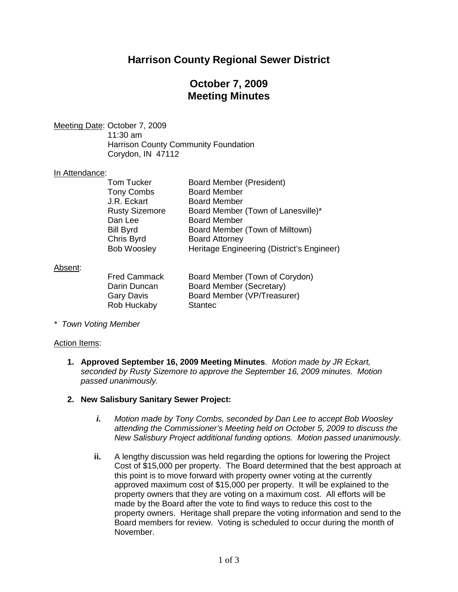# **Harrison County Regional Sewer District**

## **October 7, 2009 Meeting Minutes**

Meeting Date: October 7, 2009

11:30 am Harrison County Community Foundation Corydon, IN 47112

## In Attendance:

| Board Member (President)                   |
|--------------------------------------------|
|                                            |
| <b>Board Member</b>                        |
| <b>Board Member</b>                        |
| Board Member (Town of Lanesville)*         |
| <b>Board Member</b>                        |
| Board Member (Town of Milltown)            |
| <b>Board Attorney</b>                      |
| Heritage Engineering (District's Engineer) |
|                                            |

## <u>Absent</u>:

| <b>Fred Cammack</b> | Board Member (Town of Corydon) |
|---------------------|--------------------------------|
| Darin Duncan        | Board Member (Secretary)       |
| Gary Davis          | Board Member (VP/Treasurer)    |
| Rob Huckaby         | <b>Stantec</b>                 |

*\* Town Voting Member*

#### Action Items:

**1. Approved September 16, 2009 Meeting Minutes**. *Motion made by JR Eckart, seconded by Rusty Sizemore to approve the September 16, 2009 minutes. Motion passed unanimously.*

#### **2. New Salisbury Sanitary Sewer Project:**

- *i. Motion made by Tony Combs, seconded by Dan Lee to accept Bob Woosley attending the Commissioner's Meeting held on October 5, 2009 to discuss the New Salisbury Project additional funding options. Motion passed unanimously.*
- **ii.** A lengthy discussion was held regarding the options for lowering the Project Cost of \$15,000 per property. The Board determined that the best approach at this point is to move forward with property owner voting at the currently approved maximum cost of \$15,000 per property. It will be explained to the property owners that they are voting on a maximum cost. All efforts will be made by the Board after the vote to find ways to reduce this cost to the property owners. Heritage shall prepare the voting information and send to the Board members for review. Voting is scheduled to occur during the month of November.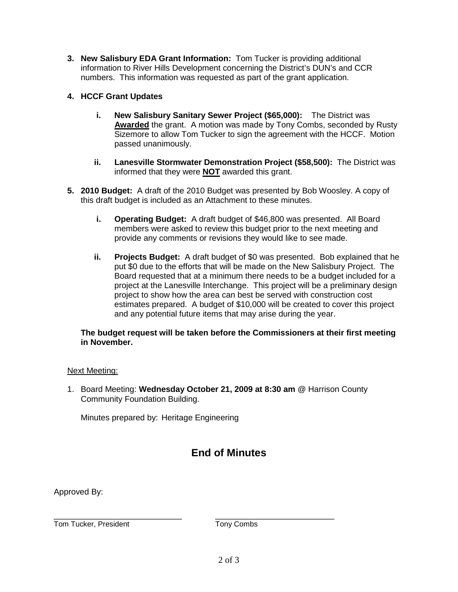- **3. New Salisbury EDA Grant Information:** Tom Tucker is providing additional information to River Hills Development concerning the District's DUN's and CCR numbers. This information was requested as part of the grant application.
- **4. HCCF Grant Updates**
	- **i. New Salisbury Sanitary Sewer Project (\$65,000):** The District was **Awarded** the grant. A motion was made by Tony Combs, seconded by Rusty Sizemore to allow Tom Tucker to sign the agreement with the HCCF. Motion passed unanimously.
	- **ii. Lanesville Stormwater Demonstration Project (\$58,500):** The District was informed that they were **NOT** awarded this grant.
- **5. 2010 Budget:** A draft of the 2010 Budget was presented by Bob Woosley. A copy of this draft budget is included as an Attachment to these minutes.
	- **i. Operating Budget:** A draft budget of \$46,800 was presented. All Board members were asked to review this budget prior to the next meeting and provide any comments or revisions they would like to see made.
	- **ii. Projects Budget:** A draft budget of \$0 was presented. Bob explained that he put \$0 due to the efforts that will be made on the New Salisbury Project. The Board requested that at a minimum there needs to be a budget included for a project at the Lanesville Interchange. This project will be a preliminary design project to show how the area can best be served with construction cost estimates prepared. A budget of \$10,000 will be created to cover this project and any potential future items that may arise during the year.

### **The budget request will be taken before the Commissioners at their first meeting in November.**

## Next Meeting:

1. Board Meeting: **Wednesday October 21, 2009 at 8:30 am** @ Harrison County Community Foundation Building.

Minutes prepared by: Heritage Engineering

# **End of Minutes**

Approved By:

\_\_\_\_\_\_\_\_\_\_\_\_\_\_\_\_\_\_\_\_\_\_\_\_\_\_\_\_ \_\_\_\_\_\_\_\_\_\_\_\_\_\_\_\_\_\_\_\_\_\_\_\_\_\_ Tom Tucker, President Tony Combs